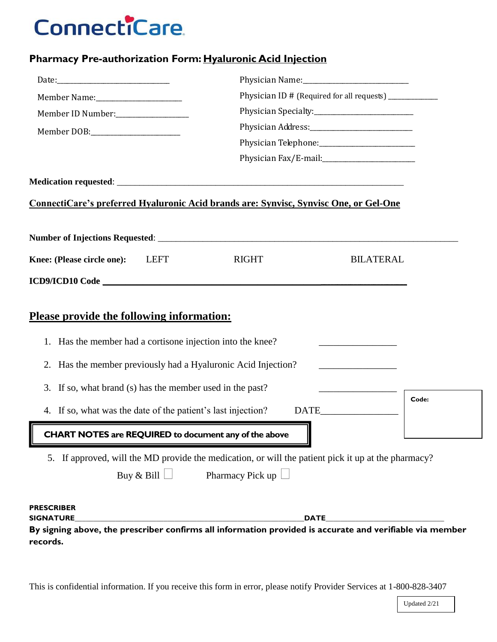## **ConnectiCare**

## **Pharmacy Pre-authorization Form: Hyaluronic Acid Injection**

|                                                                                                                                                                                | Physician ID # (Required for all requests) ___________ |                                              |  |  |  |
|--------------------------------------------------------------------------------------------------------------------------------------------------------------------------------|--------------------------------------------------------|----------------------------------------------|--|--|--|
| Member ID Number:<br><u> </u>                                                                                                                                                  |                                                        |                                              |  |  |  |
|                                                                                                                                                                                |                                                        |                                              |  |  |  |
|                                                                                                                                                                                |                                                        |                                              |  |  |  |
|                                                                                                                                                                                |                                                        |                                              |  |  |  |
|                                                                                                                                                                                |                                                        |                                              |  |  |  |
| ConnectiCare's preferred Hyaluronic Acid brands are: Synvisc, Synvisc One, or Gel-One                                                                                          |                                                        |                                              |  |  |  |
|                                                                                                                                                                                |                                                        |                                              |  |  |  |
| Knee: (Please circle one):<br><b>LEFT</b>                                                                                                                                      | <b>RIGHT</b>                                           | <b>BILATERAL</b>                             |  |  |  |
|                                                                                                                                                                                |                                                        |                                              |  |  |  |
|                                                                                                                                                                                |                                                        |                                              |  |  |  |
| <b>Please provide the following information:</b>                                                                                                                               |                                                        |                                              |  |  |  |
| Has the member had a cortisone injection into the knee?<br>1.                                                                                                                  |                                                        |                                              |  |  |  |
| Has the member previously had a Hyaluronic Acid Injection?<br>2.                                                                                                               |                                                        |                                              |  |  |  |
| If so, what brand (s) has the member used in the past?<br>3.                                                                                                                   |                                                        | the control of the control of the control of |  |  |  |
| 4. If so, what was the date of the patient's last injection?                                                                                                                   |                                                        | Code:                                        |  |  |  |
| <u> 1989 - Johann Barn, mars ann an t-Amhain an t-Amhain an t-Amhain an t-Amhain an t-Amhain an t-Amhain an t-Amh</u><br>CHART NOTES are REQUIRED to document any of the above |                                                        |                                              |  |  |  |
| 5. If approved, will the MD provide the medication, or will the patient pick it up at the pharmacy?<br>Buy & Bill $\Box$                                                       | Pharmacy Pick up                                       |                                              |  |  |  |
| <b>PRESCRIBER</b><br><b>SIGNATURE</b>                                                                                                                                          |                                                        | <b>DATE</b>                                  |  |  |  |
| By signing above, the prescriber confirms all information provided is accurate and verifiable via member<br>records.                                                           |                                                        |                                              |  |  |  |

This is confidential information. If you receive this form in error, please notify Provider Services at 1-800-828-3407

Updated 2/21